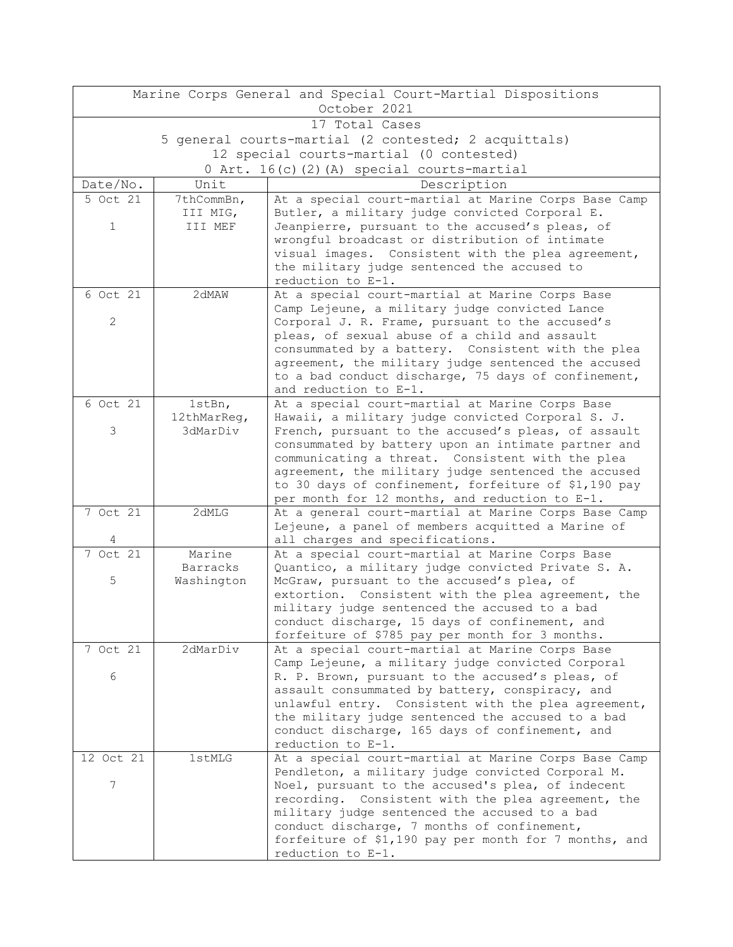| Marine Corps General and Special Court-Martial Dispositions |                                                      |                                                                                                            |  |  |  |
|-------------------------------------------------------------|------------------------------------------------------|------------------------------------------------------------------------------------------------------------|--|--|--|
| October 2021                                                |                                                      |                                                                                                            |  |  |  |
| 17 Total Cases                                              |                                                      |                                                                                                            |  |  |  |
|                                                             | 5 general courts-martial (2 contested; 2 acquittals) |                                                                                                            |  |  |  |
| 12 special courts-martial (0 contested)                     |                                                      |                                                                                                            |  |  |  |
| 0 Art. 16(c)(2)(A) special courts-martial                   |                                                      |                                                                                                            |  |  |  |
| Date/No.                                                    | Unit                                                 | Description                                                                                                |  |  |  |
| 5 Oct 21                                                    | 7thCommBn,                                           | At a special court-martial at Marine Corps Base Camp                                                       |  |  |  |
|                                                             | III MIG,<br>III MEF                                  | Butler, a military judge convicted Corporal E.                                                             |  |  |  |
| $\mathbf 1$                                                 |                                                      | Jeanpierre, pursuant to the accused's pleas, of<br>wrongful broadcast or distribution of intimate          |  |  |  |
|                                                             |                                                      | visual images. Consistent with the plea agreement,                                                         |  |  |  |
|                                                             |                                                      | the military judge sentenced the accused to                                                                |  |  |  |
|                                                             |                                                      | reduction to E-1.                                                                                          |  |  |  |
| $6$ Oct $2\overline{1}$                                     | 2dMAW                                                | At a special court-martial at Marine Corps Base                                                            |  |  |  |
|                                                             |                                                      | Camp Lejeune, a military judge convicted Lance                                                             |  |  |  |
| $\mathbf{2}$                                                |                                                      | Corporal J. R. Frame, pursuant to the accused's                                                            |  |  |  |
|                                                             |                                                      | pleas, of sexual abuse of a child and assault                                                              |  |  |  |
|                                                             |                                                      | consummated by a battery. Consistent with the plea                                                         |  |  |  |
|                                                             |                                                      | agreement, the military judge sentenced the accused<br>to a bad conduct discharge, 75 days of confinement, |  |  |  |
|                                                             |                                                      | and reduction to E-1.                                                                                      |  |  |  |
| 6 Oct 21                                                    | 1stBn,                                               | At a special court-martial at Marine Corps Base                                                            |  |  |  |
|                                                             | 12thMarReg,                                          | Hawaii, a military judge convicted Corporal S. J.                                                          |  |  |  |
| 3                                                           | 3dMarDiv                                             | French, pursuant to the accused's pleas, of assault                                                        |  |  |  |
|                                                             |                                                      | consummated by battery upon an intimate partner and                                                        |  |  |  |
|                                                             |                                                      | communicating a threat. Consistent with the plea                                                           |  |  |  |
|                                                             |                                                      | agreement, the military judge sentenced the accused                                                        |  |  |  |
|                                                             |                                                      | to 30 days of confinement, forfeiture of \$1,190 pay                                                       |  |  |  |
| 7 Oct 21                                                    |                                                      | per month for 12 months, and reduction to E-1.                                                             |  |  |  |
|                                                             | 2dMLG                                                | At a general court-martial at Marine Corps Base Camp<br>Lejeune, a panel of members acquitted a Marine of  |  |  |  |
| 4                                                           |                                                      | all charges and specifications.                                                                            |  |  |  |
| $7$ Oct $21$                                                | Marine                                               | At a special court-martial at Marine Corps Base                                                            |  |  |  |
|                                                             | <b>Barracks</b>                                      | Quantico, a military judge convicted Private S. A.                                                         |  |  |  |
| 5                                                           | Washington                                           | McGraw, pursuant to the accused's plea, of                                                                 |  |  |  |
|                                                             |                                                      | extortion. Consistent with the plea agreement, the                                                         |  |  |  |
|                                                             |                                                      | military judge sentenced the accused to a bad                                                              |  |  |  |
|                                                             |                                                      | conduct discharge, 15 days of confinement, and                                                             |  |  |  |
|                                                             |                                                      | forfeiture of \$785 pay per month for 3 months.                                                            |  |  |  |
| 7 Oct 21                                                    | 2dMarDiv                                             | At a special court-martial at Marine Corps Base<br>Camp Lejeune, a military judge convicted Corporal       |  |  |  |
| 6                                                           |                                                      | R. P. Brown, pursuant to the accused's pleas, of                                                           |  |  |  |
|                                                             |                                                      | assault consummated by battery, conspiracy, and                                                            |  |  |  |
|                                                             |                                                      | unlawful entry. Consistent with the plea agreement,                                                        |  |  |  |
|                                                             |                                                      | the military judge sentenced the accused to a bad                                                          |  |  |  |
|                                                             |                                                      | conduct discharge, 165 days of confinement, and                                                            |  |  |  |
|                                                             |                                                      | reduction to E-1.                                                                                          |  |  |  |
| 12 Oct 21                                                   | 1stMLG                                               | At a special court-martial at Marine Corps Base Camp                                                       |  |  |  |
| 7                                                           |                                                      | Pendleton, a military judge convicted Corporal M.                                                          |  |  |  |
|                                                             |                                                      | Noel, pursuant to the accused's plea, of indecent<br>recording. Consistent with the plea agreement, the    |  |  |  |
|                                                             |                                                      | military judge sentenced the accused to a bad                                                              |  |  |  |
|                                                             |                                                      | conduct discharge, 7 months of confinement,                                                                |  |  |  |
|                                                             |                                                      | forfeiture of \$1,190 pay per month for 7 months, and                                                      |  |  |  |
|                                                             |                                                      | reduction to E-1.                                                                                          |  |  |  |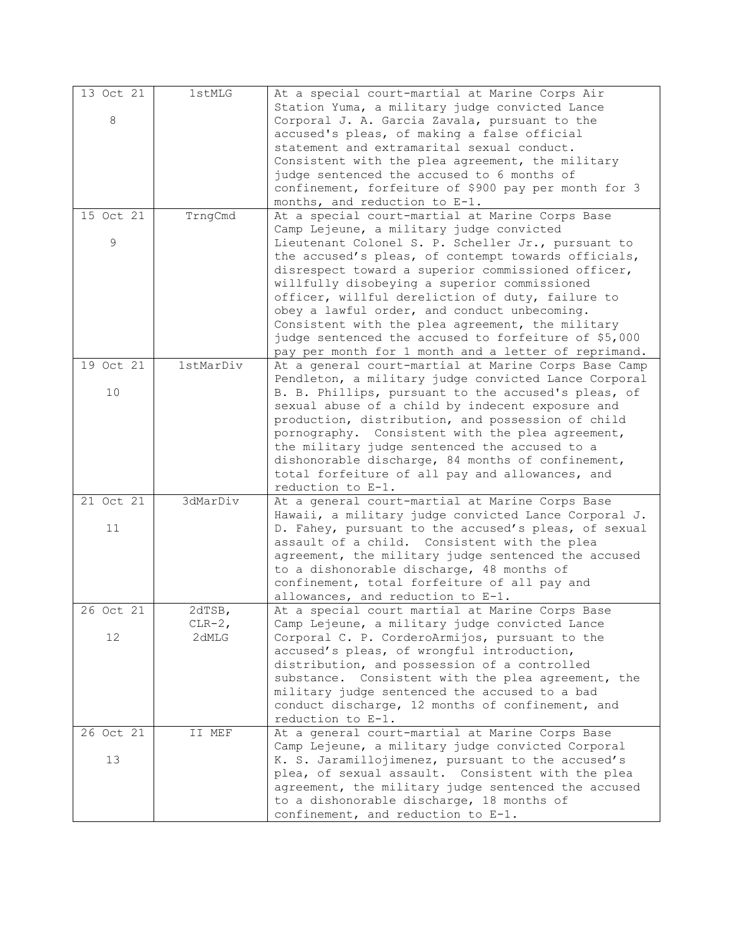| 13 Oct 21 | 1stMLG    | At a special court-martial at Marine Corps Air       |
|-----------|-----------|------------------------------------------------------|
|           |           | Station Yuma, a military judge convicted Lance       |
| 8         |           | Corporal J. A. Garcia Zavala, pursuant to the        |
|           |           | accused's pleas, of making a false official          |
|           |           | statement and extramarital sexual conduct.           |
|           |           | Consistent with the plea agreement, the military     |
|           |           | judge sentenced the accused to 6 months of           |
|           |           | confinement, forfeiture of \$900 pay per month for 3 |
|           |           | months, and reduction to E-1.                        |
| 15 Oct 21 | TrngCmd   | At a special court-martial at Marine Corps Base      |
|           |           | Camp Lejeune, a military judge convicted             |
| 9         |           | Lieutenant Colonel S. P. Scheller Jr., pursuant to   |
|           |           | the accused's pleas, of contempt towards officials,  |
|           |           | disrespect toward a superior commissioned officer,   |
|           |           | willfully disobeying a superior commissioned         |
|           |           | officer, willful dereliction of duty, failure to     |
|           |           | obey a lawful order, and conduct unbecoming.         |
|           |           | Consistent with the plea agreement, the military     |
|           |           | judge sentenced the accused to forfeiture of \$5,000 |
|           |           | pay per month for 1 month and a letter of reprimand. |
| 19 Oct 21 | 1stMarDiv | At a general court-martial at Marine Corps Base Camp |
|           |           | Pendleton, a military judge convicted Lance Corporal |
| 10        |           | B. B. Phillips, pursuant to the accused's pleas, of  |
|           |           | sexual abuse of a child by indecent exposure and     |
|           |           | production, distribution, and possession of child    |
|           |           | pornography. Consistent with the plea agreement,     |
|           |           | the military judge sentenced the accused to a        |
|           |           | dishonorable discharge, 84 months of confinement,    |
|           |           | total forfeiture of all pay and allowances, and      |
|           |           | reduction to E-1.                                    |
| 21 Oct 21 | 3dMarDiv  | At a general court-martial at Marine Corps Base      |
|           |           | Hawaii, a military judge convicted Lance Corporal J. |
| 11        |           | D. Fahey, pursuant to the accused's pleas, of sexual |
|           |           | assault of a child. Consistent with the plea         |
|           |           | agreement, the military judge sentenced the accused  |
|           |           | to a dishonorable discharge, 48 months of            |
|           |           | confinement, total forfeiture of all pay and         |
|           |           | allowances, and reduction to E-1.                    |
| 26 Oct 21 | 2dTSB,    | At a special court martial at Marine Corps Base      |
|           | $CLR-2,$  | Camp Lejeune, a military judge convicted Lance       |
| 12        | 2dMLG     | Corporal C. P. CorderoArmijos, pursuant to the       |
|           |           | accused's pleas, of wrongful introduction,           |
|           |           | distribution, and possession of a controlled         |
|           |           | substance. Consistent with the plea agreement, the   |
|           |           | military judge sentenced the accused to a bad        |
|           |           | conduct discharge, 12 months of confinement, and     |
|           |           | reduction to E-1.                                    |
| 26 Oct 21 | II MEF    | At a general court-martial at Marine Corps Base      |
|           |           | Camp Lejeune, a military judge convicted Corporal    |
| 13        |           | K. S. Jaramillojimenez, pursuant to the accused's    |
|           |           | plea, of sexual assault. Consistent with the plea    |
|           |           | agreement, the military judge sentenced the accused  |
|           |           | to a dishonorable discharge, 18 months of            |
|           |           | confinement, and reduction to E-1.                   |